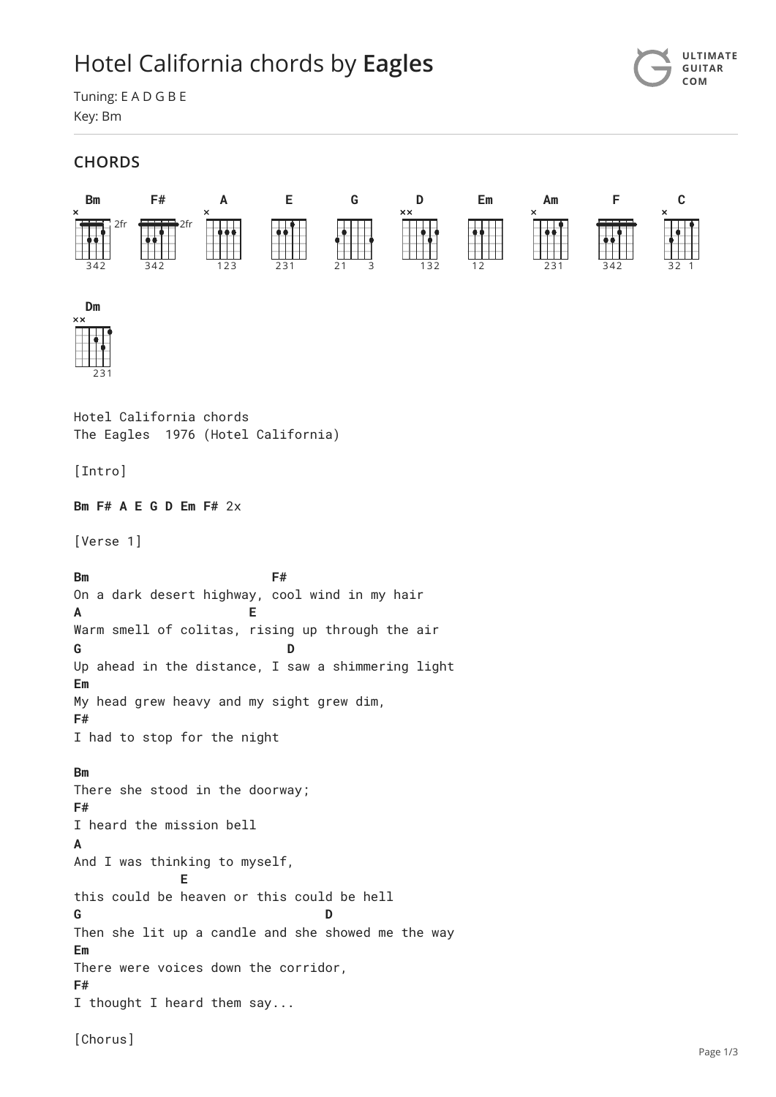## Hotel California chords by **[Eagles](https://www.ultimate-guitar.com/artist/eagles_1509) [ULTIMATE](https://tabs.ultimate-guitar.com/)**



Tuning: E A D G B E Key: Bm

## **CHORDS**

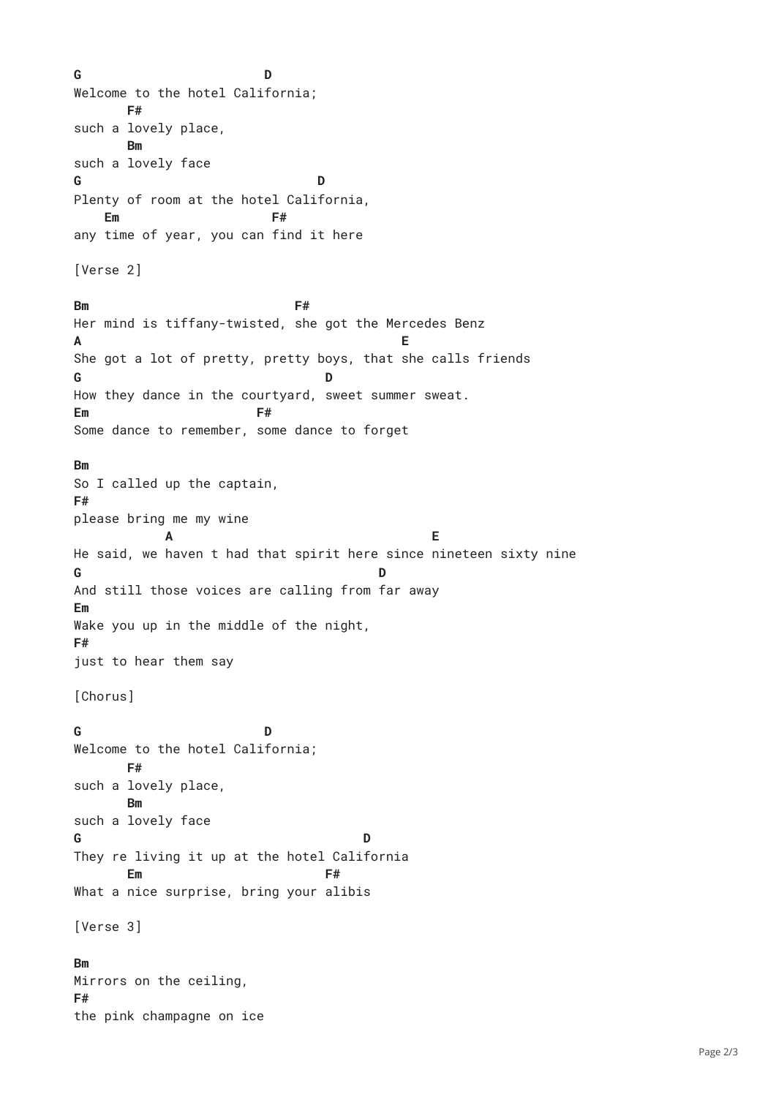G Welcome to the hotel California; such a lovely place, such a lovely face Plenty of room at the hotel California, any time of year, you can find it here [Verse 2] **Bm** Her mind is tiffany-twisted, she got the Mercedes Benz  $\mathbf{A}$ She got a lot of pretty, pretty boys, that she calls friends G How they dance in the courtyard, sweet summer sweat. Em Some dance to remember, some dance to forget So I called up the captain, please bring me my wine He said, we haven t had that spirit here since nineteen sixty nine G And still those voices are calling from far away Wake you up in the middle of the night, just to hear them say [Chorus] G Welcome to the hotel California; such a lovely place, such a lovely face G They re living it up at the hotel California What a nice surprise, bring your alibis [Verse 3] Mirrors on the ceiling, the pink champagne on ice **G D F# Bm G D Em F# Bm F# A E G D Em F# Bm F# A E G D Em F# G D F# Bm G D Em F# Bm F#**